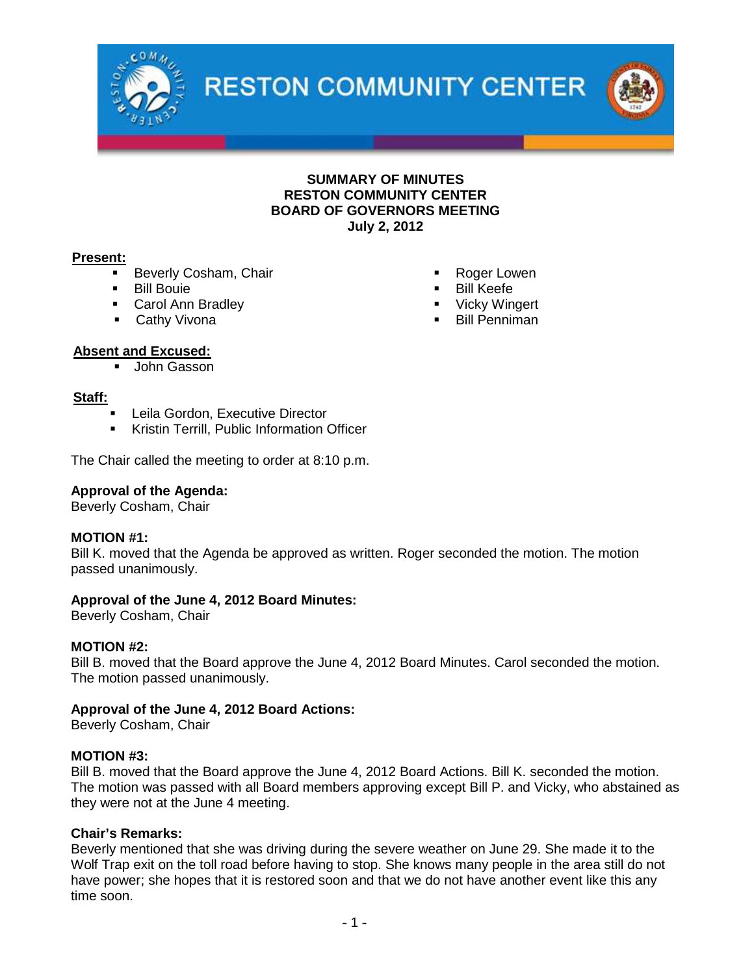

**RESTON COMMUNITY CENTER** 



#### **SUMMARY OF MINUTES RESTON COMMUNITY CENTER BOARD OF GOVERNORS MEETING July 2, 2012**

#### **Present:**

- **Beverly Cosham, Chair**
- **Bill Bouie**
- **Carol Ann Bradley**
- **Cathy Vivona**
- Roger Lowen
- Bill Keefe
- Vicky Wingert
- **Bill Penniman**

#### **Absent and Excused:**

**John Gasson** 

#### **Staff:**

- Leila Gordon, Executive Director
- Kristin Terrill, Public Information Officer

The Chair called the meeting to order at 8:10 p.m.

#### **Approval of the Agenda:**

Beverly Cosham, Chair

#### **MOTION #1:**

Bill K. moved that the Agenda be approved as written. Roger seconded the motion. The motion passed unanimously.

#### **Approval of the June 4, 2012 Board Minutes:**

Beverly Cosham, Chair

#### **MOTION #2:**

Bill B. moved that the Board approve the June 4, 2012 Board Minutes. Carol seconded the motion. The motion passed unanimously.

#### **Approval of the June 4, 2012 Board Actions:**

Beverly Cosham, Chair

#### **MOTION #3:**

Bill B. moved that the Board approve the June 4, 2012 Board Actions. Bill K. seconded the motion. The motion was passed with all Board members approving except Bill P. and Vicky, who abstained as they were not at the June 4 meeting.

#### **Chair's Remarks:**

Beverly mentioned that she was driving during the severe weather on June 29. She made it to the Wolf Trap exit on the toll road before having to stop. She knows many people in the area still do not have power; she hopes that it is restored soon and that we do not have another event like this any time soon.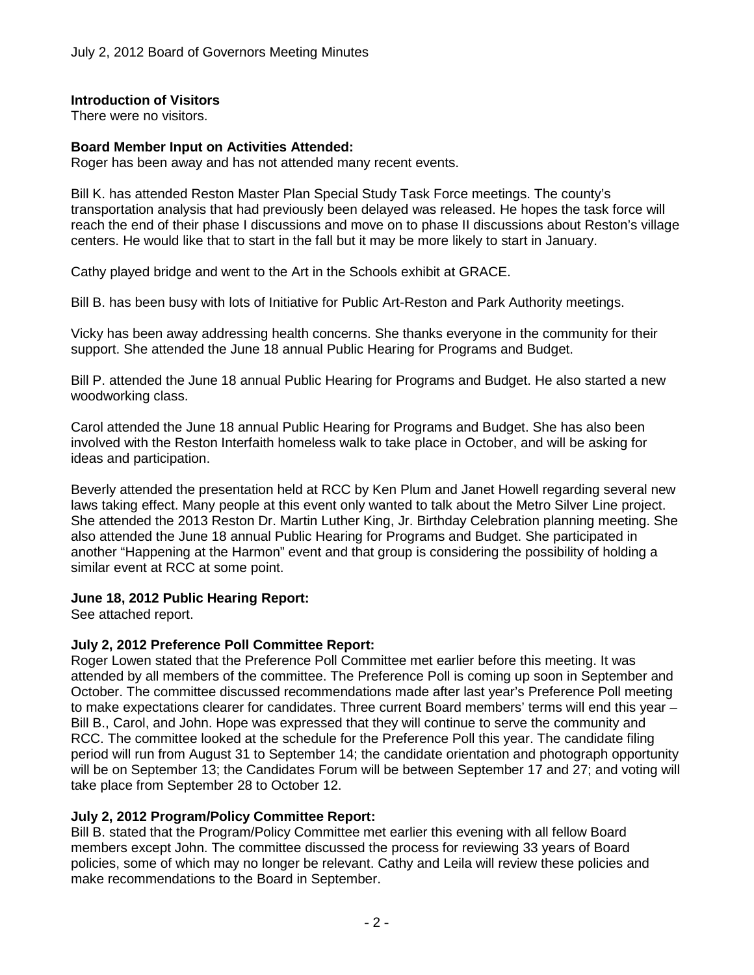#### **Introduction of Visitors**

There were no visitors.

#### **Board Member Input on Activities Attended:**

Roger has been away and has not attended many recent events.

Bill K. has attended Reston Master Plan Special Study Task Force meetings. The county's transportation analysis that had previously been delayed was released. He hopes the task force will reach the end of their phase I discussions and move on to phase II discussions about Reston's village centers. He would like that to start in the fall but it may be more likely to start in January.

Cathy played bridge and went to the Art in the Schools exhibit at GRACE.

Bill B. has been busy with lots of Initiative for Public Art-Reston and Park Authority meetings.

Vicky has been away addressing health concerns. She thanks everyone in the community for their support. She attended the June 18 annual Public Hearing for Programs and Budget.

Bill P. attended the June 18 annual Public Hearing for Programs and Budget. He also started a new woodworking class.

Carol attended the June 18 annual Public Hearing for Programs and Budget. She has also been involved with the Reston Interfaith homeless walk to take place in October, and will be asking for ideas and participation.

Beverly attended the presentation held at RCC by Ken Plum and Janet Howell regarding several new laws taking effect. Many people at this event only wanted to talk about the Metro Silver Line project. She attended the 2013 Reston Dr. Martin Luther King, Jr. Birthday Celebration planning meeting. She also attended the June 18 annual Public Hearing for Programs and Budget. She participated in another "Happening at the Harmon" event and that group is considering the possibility of holding a similar event at RCC at some point.

#### **June 18, 2012 Public Hearing Report:**

See attached report.

#### **July 2, 2012 Preference Poll Committee Report:**

Roger Lowen stated that the Preference Poll Committee met earlier before this meeting. It was attended by all members of the committee. The Preference Poll is coming up soon in September and October. The committee discussed recommendations made after last year's Preference Poll meeting to make expectations clearer for candidates. Three current Board members' terms will end this year – Bill B., Carol, and John. Hope was expressed that they will continue to serve the community and RCC. The committee looked at the schedule for the Preference Poll this year. The candidate filing period will run from August 31 to September 14; the candidate orientation and photograph opportunity will be on September 13; the Candidates Forum will be between September 17 and 27; and voting will take place from September 28 to October 12.

#### **July 2, 2012 Program/Policy Committee Report:**

Bill B. stated that the Program/Policy Committee met earlier this evening with all fellow Board members except John. The committee discussed the process for reviewing 33 years of Board policies, some of which may no longer be relevant. Cathy and Leila will review these policies and make recommendations to the Board in September.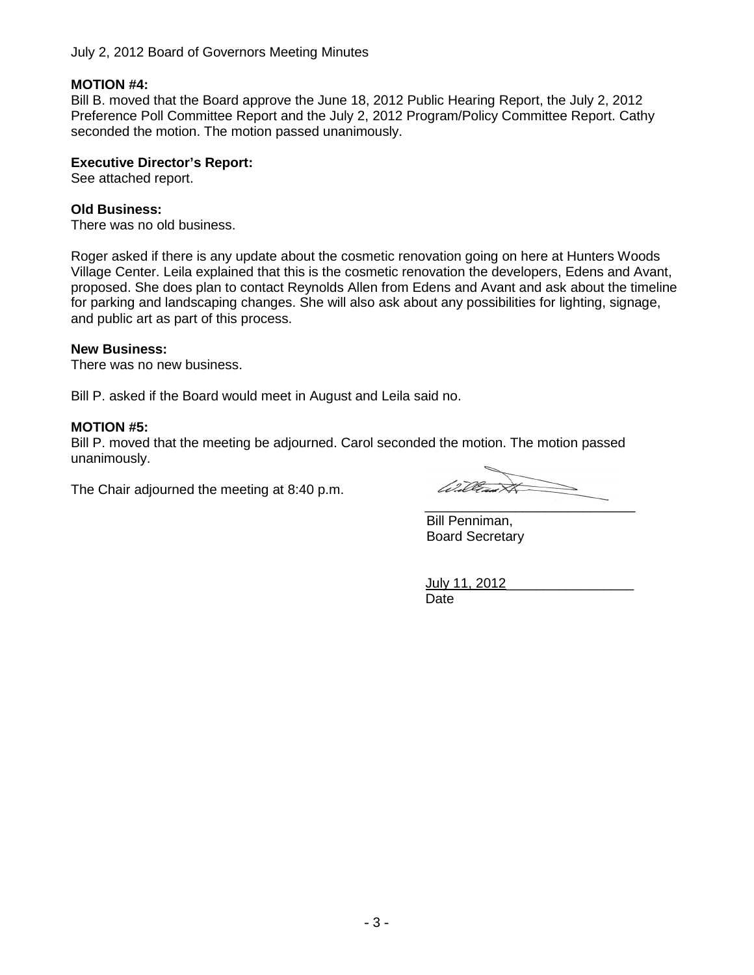#### **MOTION #4:**

Bill B. moved that the Board approve the June 18, 2012 Public Hearing Report, the July 2, 2012 Preference Poll Committee Report and the July 2, 2012 Program/Policy Committee Report. Cathy seconded the motion. The motion passed unanimously.

#### **Executive Director's Report:**

See attached report.

#### **Old Business:**

There was no old business.

Roger asked if there is any update about the cosmetic renovation going on here at Hunters Woods Village Center. Leila explained that this is the cosmetic renovation the developers, Edens and Avant, proposed. She does plan to contact Reynolds Allen from Edens and Avant and ask about the timeline for parking and landscaping changes. She will also ask about any possibilities for lighting, signage, and public art as part of this process.

#### **New Business:**

There was no new business.

Bill P. asked if the Board would meet in August and Leila said no.

#### **MOTION #5:**

Bill P. moved that the meeting be adjourned. Carol seconded the motion. The motion passed unanimously.

The Chair adjourned the meeting at 8:40 p.m.

 $\overrightarrow{x}$ (1) 10  $\overline{\phantom{a}}$  , where  $\overline{\phantom{a}}$  , where  $\overline{\phantom{a}}$  ,  $\overline{\phantom{a}}$  ,  $\overline{\phantom{a}}$  ,  $\overline{\phantom{a}}$  ,  $\overline{\phantom{a}}$  ,  $\overline{\phantom{a}}$  ,  $\overline{\phantom{a}}$  ,  $\overline{\phantom{a}}$  ,  $\overline{\phantom{a}}$  ,  $\overline{\phantom{a}}$  ,  $\overline{\phantom{a}}$  ,  $\overline{\phantom{a}}$  ,  $\overline{\phantom{a}}$  ,

Bill Penniman, Board Secretary

July 11, 2012\_\_\_\_\_\_\_\_\_\_\_\_\_\_\_\_\_ Date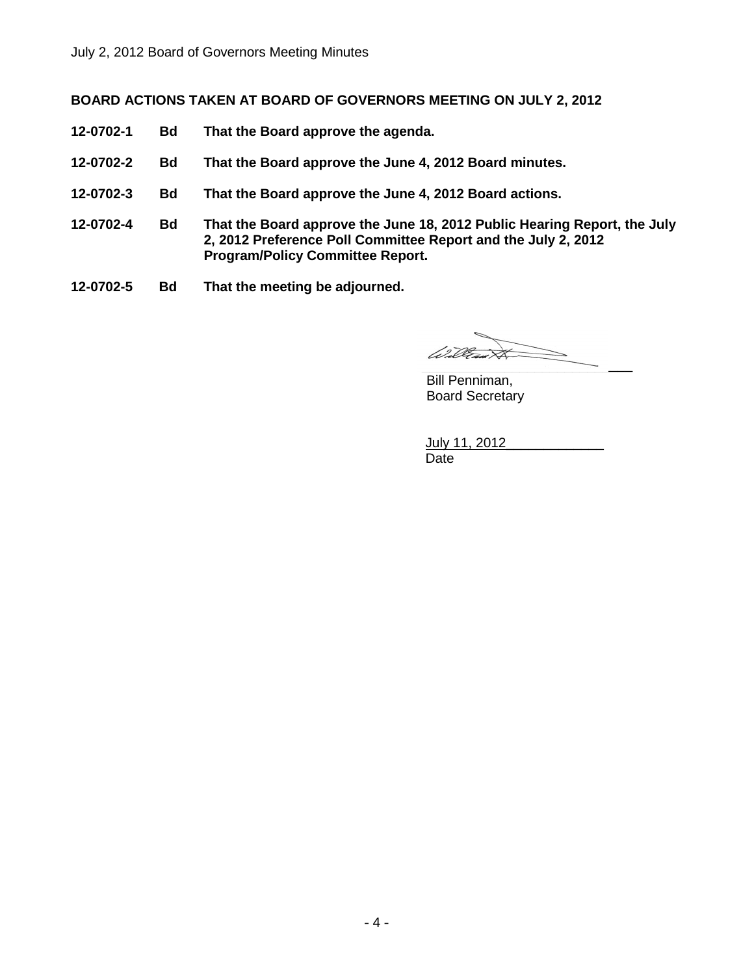#### **BOARD ACTIONS TAKEN AT BOARD OF GOVERNORS MEETING ON JULY 2, 2012**

- **12-0702-1 Bd That the Board approve the agenda.**
- **12-0702-2 Bd That the Board approve the June 4, 2012 Board minutes.**
- **12-0702-3 Bd That the Board approve the June 4, 2012 Board actions.**
- **12-0702-4 Bd That the Board approve the June 18, 2012 Public Hearing Report, the July 2, 2012 Preference Poll Committee Report and the July 2, 2012 Program/Policy Committee Report.**
- **12-0702-5 Bd That the meeting be adjourned.**

William  $\overrightarrow{\times}$  $\overline{\phantom{a}}$  , and the set of the set of the set of the set of the set of the set of the set of the set of the set of the set of the set of the set of the set of the set of the set of the set of the set of the set of the s

Bill Penniman, Board Secretary

July 11, 2012 Date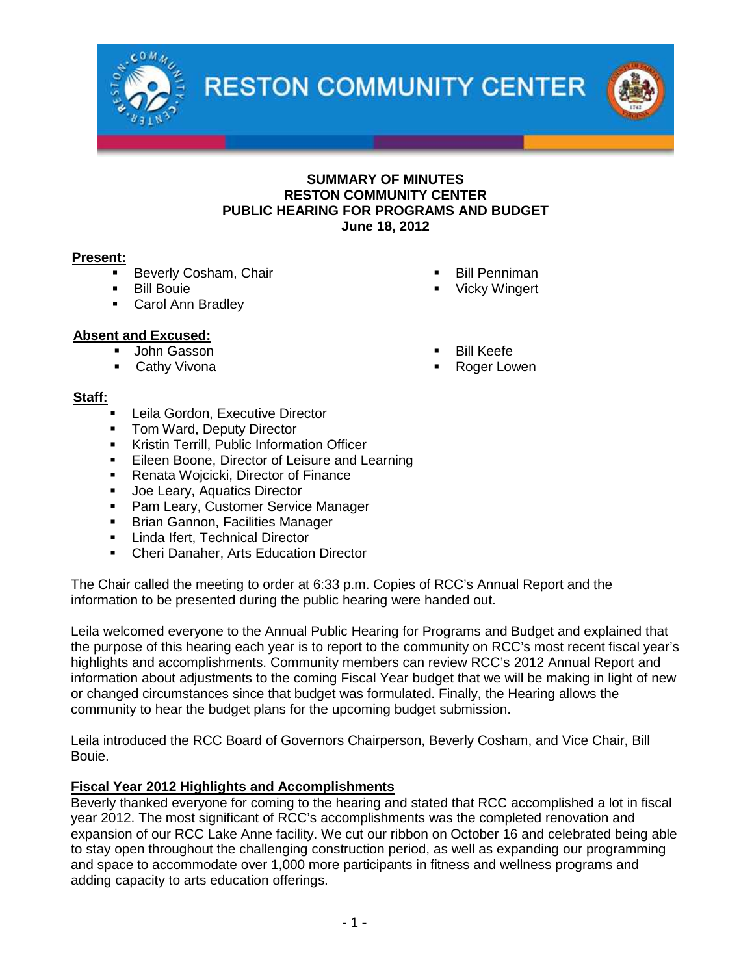

**RESTON COMMUNITY CENTER** 



#### **SUMMARY OF MINUTES RESTON COMMUNITY CENTER PUBLIC HEARING FOR PROGRAMS AND BUDGET June 18, 2012**

#### **Present:**

- Beverly Cosham, Chair
- Bill Bouie
- **Carol Ann Bradley**

#### **Absent and Excused:**

- **John Gasson**
- **Cathy Vivona**

Vicky Wingert

Bill Penniman

- Bill Keefe
- Roger Lowen

#### **Staff:**

- Leila Gordon, Executive Director
- Tom Ward, Deputy Director
- **Kristin Terrill, Public Information Officer**
- **Eileen Boone, Director of Leisure and Learning**
- Renata Woicicki, Director of Finance
- **Joe Leary, Aquatics Director**
- **Pam Leary, Customer Service Manager**
- **Brian Gannon, Facilities Manager**
- **Linda Ifert, Technical Director**
- **EXECT** Cheri Danaher, Arts Education Director

The Chair called the meeting to order at 6:33 p.m. Copies of RCC's Annual Report and the information to be presented during the public hearing were handed out.

Leila welcomed everyone to the Annual Public Hearing for Programs and Budget and explained that the purpose of this hearing each year is to report to the community on RCC's most recent fiscal year's highlights and accomplishments. Community members can review RCC's 2012 Annual Report and information about adjustments to the coming Fiscal Year budget that we will be making in light of new or changed circumstances since that budget was formulated. Finally, the Hearing allows the community to hear the budget plans for the upcoming budget submission.

Leila introduced the RCC Board of Governors Chairperson, Beverly Cosham, and Vice Chair, Bill Bouie.

#### **Fiscal Year 2012 Highlights and Accomplishments**

Beverly thanked everyone for coming to the hearing and stated that RCC accomplished a lot in fiscal year 2012. The most significant of RCC's accomplishments was the completed renovation and expansion of our RCC Lake Anne facility. We cut our ribbon on October 16 and celebrated being able to stay open throughout the challenging construction period, as well as expanding our programming and space to accommodate over 1,000 more participants in fitness and wellness programs and adding capacity to arts education offerings.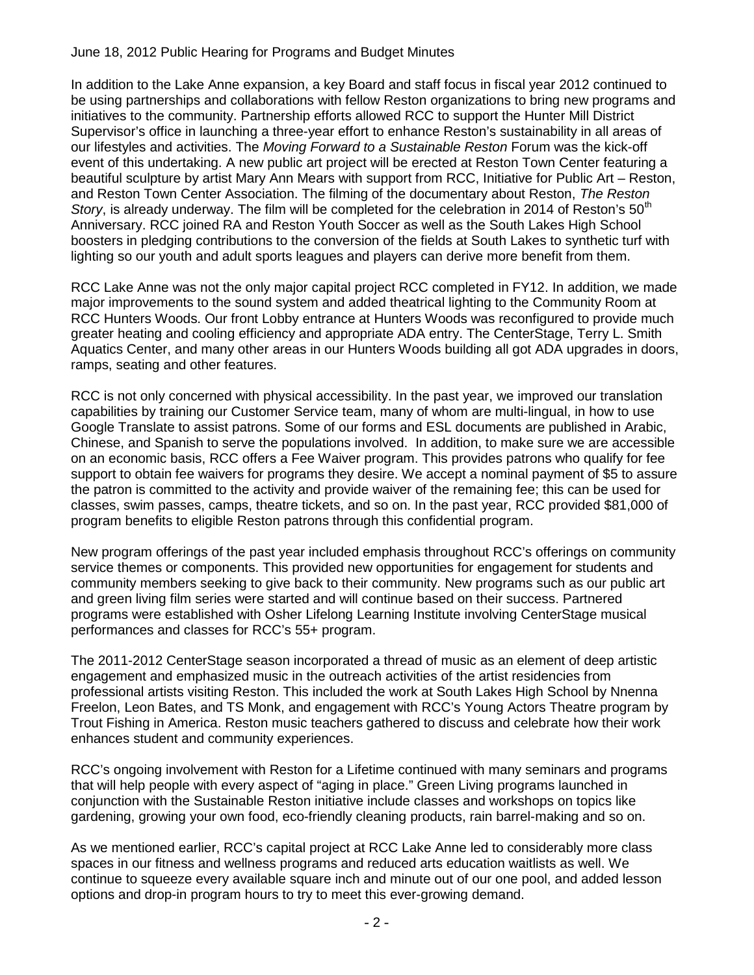#### June 18, 2012 Public Hearing for Programs and Budget Minutes

In addition to the Lake Anne expansion, a key Board and staff focus in fiscal year 2012 continued to be using partnerships and collaborations with fellow Reston organizations to bring new programs and initiatives to the community. Partnership efforts allowed RCC to support the Hunter Mill District Supervisor's office in launching a three-year effort to enhance Reston's sustainability in all areas of our lifestyles and activities. The *Moving Forward to a Sustainable Reston* Forum was the kick-off event of this undertaking. A new public art project will be erected at Reston Town Center featuring a beautiful sculpture by artist Mary Ann Mears with support from RCC, Initiative for Public Art – Reston, and Reston Town Center Association. The filming of the documentary about Reston, *The Reston Story*, is already underway. The film will be completed for the celebration in 2014 of Reston's 50<sup>th</sup> Anniversary. RCC joined RA and Reston Youth Soccer as well as the South Lakes High School boosters in pledging contributions to the conversion of the fields at South Lakes to synthetic turf with lighting so our youth and adult sports leagues and players can derive more benefit from them.

RCC Lake Anne was not the only major capital project RCC completed in FY12. In addition, we made major improvements to the sound system and added theatrical lighting to the Community Room at RCC Hunters Woods. Our front Lobby entrance at Hunters Woods was reconfigured to provide much greater heating and cooling efficiency and appropriate ADA entry. The CenterStage, Terry L. Smith Aquatics Center, and many other areas in our Hunters Woods building all got ADA upgrades in doors, ramps, seating and other features.

RCC is not only concerned with physical accessibility. In the past year, we improved our translation capabilities by training our Customer Service team, many of whom are multi-lingual, in how to use Google Translate to assist patrons. Some of our forms and ESL documents are published in Arabic, Chinese, and Spanish to serve the populations involved. In addition, to make sure we are accessible on an economic basis, RCC offers a Fee Waiver program. This provides patrons who qualify for fee support to obtain fee waivers for programs they desire. We accept a nominal payment of \$5 to assure the patron is committed to the activity and provide waiver of the remaining fee; this can be used for classes, swim passes, camps, theatre tickets, and so on. In the past year, RCC provided \$81,000 of program benefits to eligible Reston patrons through this confidential program.

New program offerings of the past year included emphasis throughout RCC's offerings on community service themes or components. This provided new opportunities for engagement for students and community members seeking to give back to their community. New programs such as our public art and green living film series were started and will continue based on their success. Partnered programs were established with Osher Lifelong Learning Institute involving CenterStage musical performances and classes for RCC's 55+ program.

The 2011-2012 CenterStage season incorporated a thread of music as an element of deep artistic engagement and emphasized music in the outreach activities of the artist residencies from professional artists visiting Reston. This included the work at South Lakes High School by Nnenna Freelon, Leon Bates, and TS Monk, and engagement with RCC's Young Actors Theatre program by Trout Fishing in America. Reston music teachers gathered to discuss and celebrate how their work enhances student and community experiences.

RCC's ongoing involvement with Reston for a Lifetime continued with many seminars and programs that will help people with every aspect of "aging in place." Green Living programs launched in conjunction with the Sustainable Reston initiative include classes and workshops on topics like gardening, growing your own food, eco-friendly cleaning products, rain barrel-making and so on.

As we mentioned earlier, RCC's capital project at RCC Lake Anne led to considerably more class spaces in our fitness and wellness programs and reduced arts education waitlists as well. We continue to squeeze every available square inch and minute out of our one pool, and added lesson options and drop-in program hours to try to meet this ever-growing demand.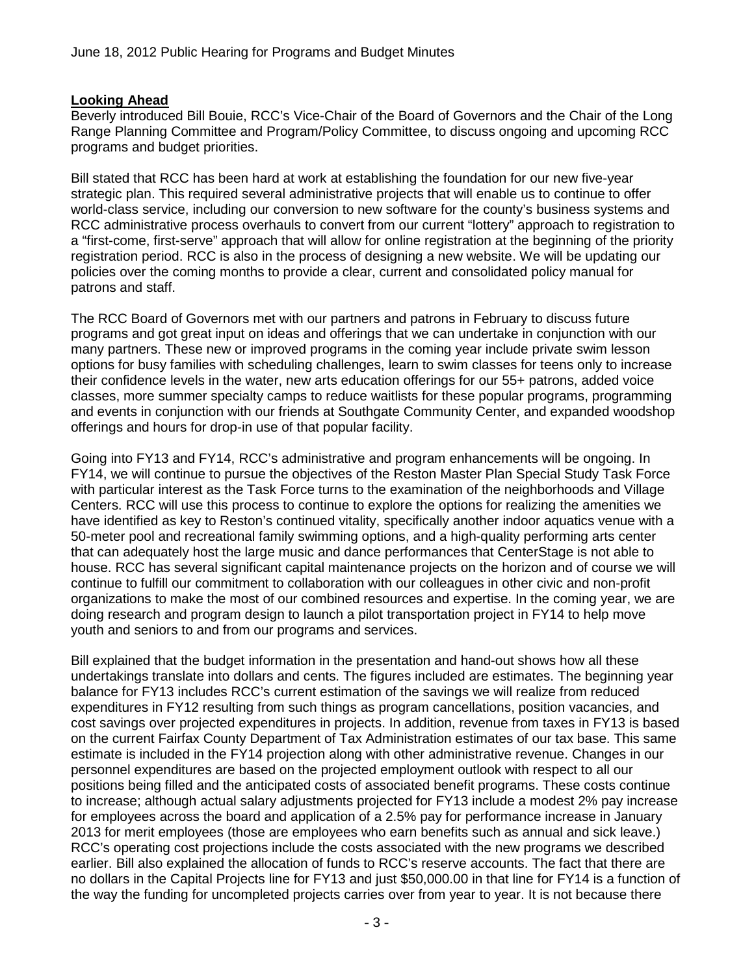#### **Looking Ahead**

Beverly introduced Bill Bouie, RCC's Vice-Chair of the Board of Governors and the Chair of the Long Range Planning Committee and Program/Policy Committee, to discuss ongoing and upcoming RCC programs and budget priorities.

Bill stated that RCC has been hard at work at establishing the foundation for our new five-year strategic plan. This required several administrative projects that will enable us to continue to offer world-class service, including our conversion to new software for the county's business systems and RCC administrative process overhauls to convert from our current "lottery" approach to registration to a "first-come, first-serve" approach that will allow for online registration at the beginning of the priority registration period. RCC is also in the process of designing a new website. We will be updating our policies over the coming months to provide a clear, current and consolidated policy manual for patrons and staff.

The RCC Board of Governors met with our partners and patrons in February to discuss future programs and got great input on ideas and offerings that we can undertake in conjunction with our many partners. These new or improved programs in the coming year include private swim lesson options for busy families with scheduling challenges, learn to swim classes for teens only to increase their confidence levels in the water, new arts education offerings for our 55+ patrons, added voice classes, more summer specialty camps to reduce waitlists for these popular programs, programming and events in conjunction with our friends at Southgate Community Center, and expanded woodshop offerings and hours for drop-in use of that popular facility.

Going into FY13 and FY14, RCC's administrative and program enhancements will be ongoing. In FY14, we will continue to pursue the objectives of the Reston Master Plan Special Study Task Force with particular interest as the Task Force turns to the examination of the neighborhoods and Village Centers. RCC will use this process to continue to explore the options for realizing the amenities we have identified as key to Reston's continued vitality, specifically another indoor aquatics venue with a 50-meter pool and recreational family swimming options, and a high-quality performing arts center that can adequately host the large music and dance performances that CenterStage is not able to house. RCC has several significant capital maintenance projects on the horizon and of course we will continue to fulfill our commitment to collaboration with our colleagues in other civic and non-profit organizations to make the most of our combined resources and expertise. In the coming year, we are doing research and program design to launch a pilot transportation project in FY14 to help move youth and seniors to and from our programs and services.

Bill explained that the budget information in the presentation and hand-out shows how all these undertakings translate into dollars and cents. The figures included are estimates. The beginning year balance for FY13 includes RCC's current estimation of the savings we will realize from reduced expenditures in FY12 resulting from such things as program cancellations, position vacancies, and cost savings over projected expenditures in projects. In addition, revenue from taxes in FY13 is based on the current Fairfax County Department of Tax Administration estimates of our tax base. This same estimate is included in the FY14 projection along with other administrative revenue. Changes in our personnel expenditures are based on the projected employment outlook with respect to all our positions being filled and the anticipated costs of associated benefit programs. These costs continue to increase; although actual salary adjustments projected for FY13 include a modest 2% pay increase for employees across the board and application of a 2.5% pay for performance increase in January 2013 for merit employees (those are employees who earn benefits such as annual and sick leave.) RCC's operating cost projections include the costs associated with the new programs we described earlier. Bill also explained the allocation of funds to RCC's reserve accounts. The fact that there are no dollars in the Capital Projects line for FY13 and just \$50,000.00 in that line for FY14 is a function of the way the funding for uncompleted projects carries over from year to year. It is not because there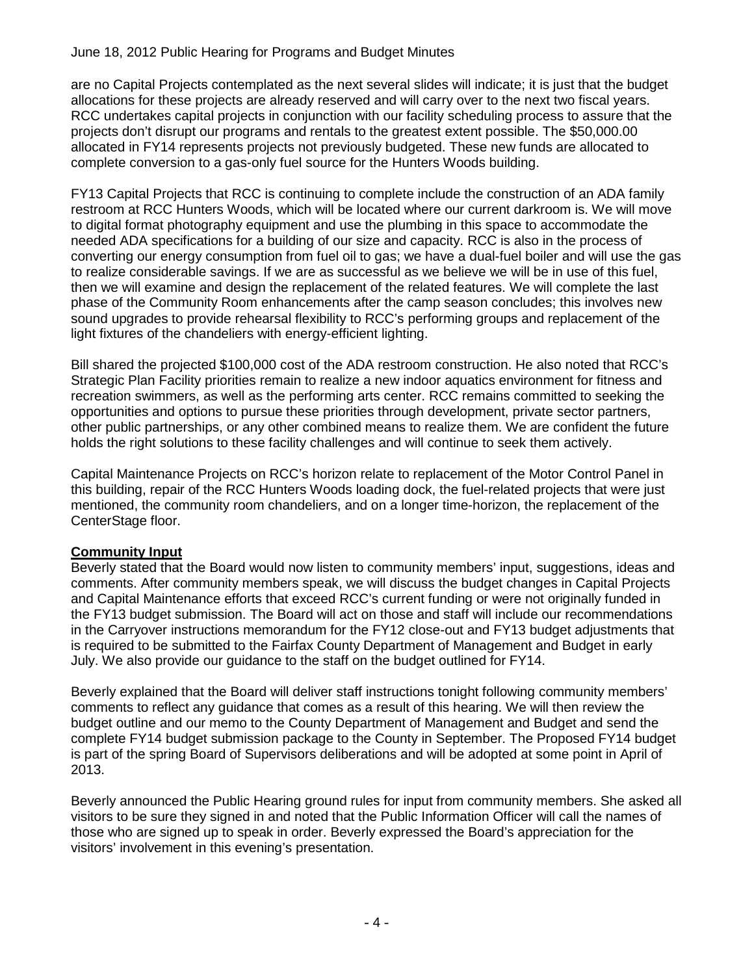#### June 18, 2012 Public Hearing for Programs and Budget Minutes

are no Capital Projects contemplated as the next several slides will indicate; it is just that the budget allocations for these projects are already reserved and will carry over to the next two fiscal years. RCC undertakes capital projects in conjunction with our facility scheduling process to assure that the projects don't disrupt our programs and rentals to the greatest extent possible. The \$50,000.00 allocated in FY14 represents projects not previously budgeted. These new funds are allocated to complete conversion to a gas-only fuel source for the Hunters Woods building.

FY13 Capital Projects that RCC is continuing to complete include the construction of an ADA family restroom at RCC Hunters Woods, which will be located where our current darkroom is. We will move to digital format photography equipment and use the plumbing in this space to accommodate the needed ADA specifications for a building of our size and capacity. RCC is also in the process of converting our energy consumption from fuel oil to gas; we have a dual-fuel boiler and will use the gas to realize considerable savings. If we are as successful as we believe we will be in use of this fuel, then we will examine and design the replacement of the related features. We will complete the last phase of the Community Room enhancements after the camp season concludes; this involves new sound upgrades to provide rehearsal flexibility to RCC's performing groups and replacement of the light fixtures of the chandeliers with energy-efficient lighting.

Bill shared the projected \$100,000 cost of the ADA restroom construction. He also noted that RCC's Strategic Plan Facility priorities remain to realize a new indoor aquatics environment for fitness and recreation swimmers, as well as the performing arts center. RCC remains committed to seeking the opportunities and options to pursue these priorities through development, private sector partners, other public partnerships, or any other combined means to realize them. We are confident the future holds the right solutions to these facility challenges and will continue to seek them actively.

Capital Maintenance Projects on RCC's horizon relate to replacement of the Motor Control Panel in this building, repair of the RCC Hunters Woods loading dock, the fuel-related projects that were just mentioned, the community room chandeliers, and on a longer time-horizon, the replacement of the CenterStage floor.

#### **Community Input**

Beverly stated that the Board would now listen to community members' input, suggestions, ideas and comments. After community members speak, we will discuss the budget changes in Capital Projects and Capital Maintenance efforts that exceed RCC's current funding or were not originally funded in the FY13 budget submission. The Board will act on those and staff will include our recommendations in the Carryover instructions memorandum for the FY12 close-out and FY13 budget adjustments that is required to be submitted to the Fairfax County Department of Management and Budget in early July. We also provide our guidance to the staff on the budget outlined for FY14.

Beverly explained that the Board will deliver staff instructions tonight following community members' comments to reflect any guidance that comes as a result of this hearing. We will then review the budget outline and our memo to the County Department of Management and Budget and send the complete FY14 budget submission package to the County in September. The Proposed FY14 budget is part of the spring Board of Supervisors deliberations and will be adopted at some point in April of 2013.

Beverly announced the Public Hearing ground rules for input from community members. She asked all visitors to be sure they signed in and noted that the Public Information Officer will call the names of those who are signed up to speak in order. Beverly expressed the Board's appreciation for the visitors' involvement in this evening's presentation.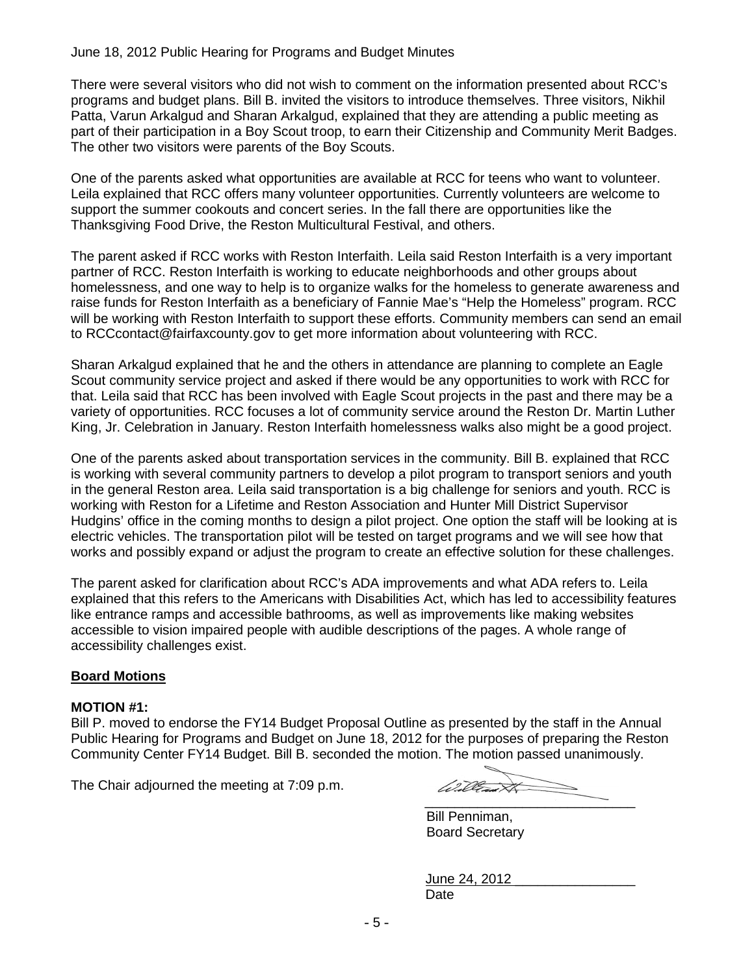#### June 18, 2012 Public Hearing for Programs and Budget Minutes

There were several visitors who did not wish to comment on the information presented about RCC's programs and budget plans. Bill B. invited the visitors to introduce themselves. Three visitors, Nikhil Patta, Varun Arkalgud and Sharan Arkalgud, explained that they are attending a public meeting as part of their participation in a Boy Scout troop, to earn their Citizenship and Community Merit Badges. The other two visitors were parents of the Boy Scouts.

One of the parents asked what opportunities are available at RCC for teens who want to volunteer. Leila explained that RCC offers many volunteer opportunities. Currently volunteers are welcome to support the summer cookouts and concert series. In the fall there are opportunities like the Thanksgiving Food Drive, the Reston Multicultural Festival, and others.

The parent asked if RCC works with Reston Interfaith. Leila said Reston Interfaith is a very important partner of RCC. Reston Interfaith is working to educate neighborhoods and other groups about homelessness, and one way to help is to organize walks for the homeless to generate awareness and raise funds for Reston Interfaith as a beneficiary of Fannie Mae's "Help the Homeless" program. RCC will be working with Reston Interfaith to support these efforts. Community members can send an email to RCCcontact@fairfaxcounty.gov to get more information about volunteering with RCC.

Sharan Arkalgud explained that he and the others in attendance are planning to complete an Eagle Scout community service project and asked if there would be any opportunities to work with RCC for that. Leila said that RCC has been involved with Eagle Scout projects in the past and there may be a variety of opportunities. RCC focuses a lot of community service around the Reston Dr. Martin Luther King, Jr. Celebration in January. Reston Interfaith homelessness walks also might be a good project.

One of the parents asked about transportation services in the community. Bill B. explained that RCC is working with several community partners to develop a pilot program to transport seniors and youth in the general Reston area. Leila said transportation is a big challenge for seniors and youth. RCC is working with Reston for a Lifetime and Reston Association and Hunter Mill District Supervisor Hudgins' office in the coming months to design a pilot project. One option the staff will be looking at is electric vehicles. The transportation pilot will be tested on target programs and we will see how that works and possibly expand or adjust the program to create an effective solution for these challenges.

The parent asked for clarification about RCC's ADA improvements and what ADA refers to. Leila explained that this refers to the Americans with Disabilities Act, which has led to accessibility features like entrance ramps and accessible bathrooms, as well as improvements like making websites accessible to vision impaired people with audible descriptions of the pages. A whole range of accessibility challenges exist.

#### **Board Motions**

#### **MOTION #1:**

Bill P. moved to endorse the FY14 Budget Proposal Outline as presented by the staff in the Annual Public Hearing for Programs and Budget on June 18, 2012 for the purposes of preparing the Reston Community Center FY14 Budget. Bill B. seconded the motion. The motion passed unanimously.

The Chair adjourned the meeting at 7:09 p.m.

William A  $\overbrace{\phantom{aaaaa}}^{x}$ 

Bill Penniman, Board Secretary

| June 24, 2012 |  |
|---------------|--|
| Date          |  |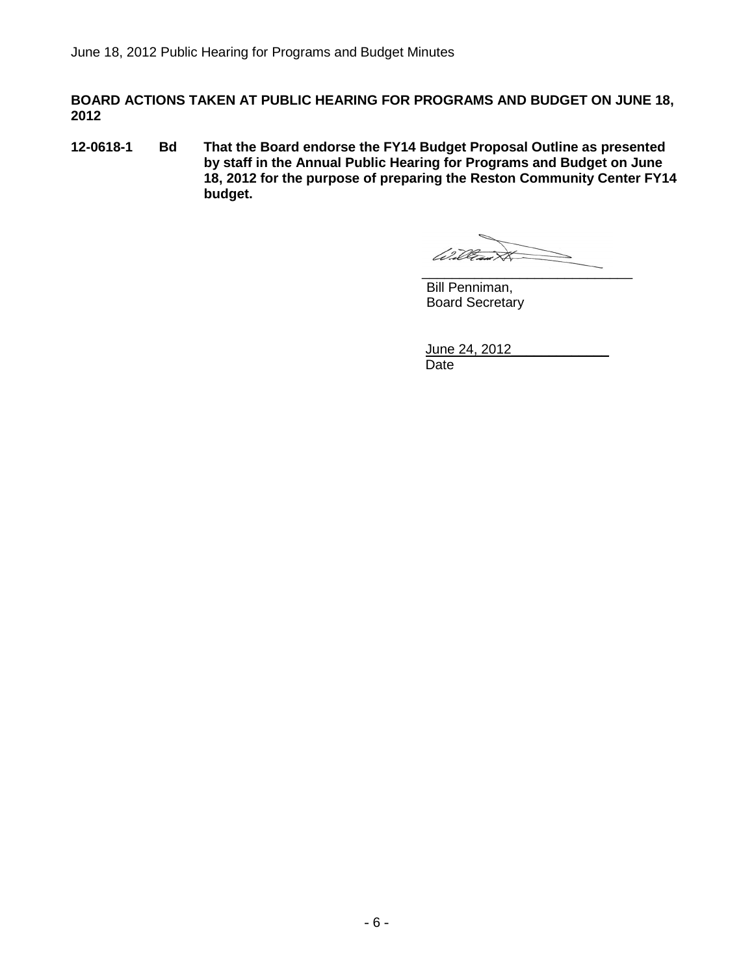**BOARD ACTIONS TAKEN AT PUBLIC HEARING FOR PROGRAMS AND BUDGET ON JUNE 18, 2012**

**12-0618-1 Bd That the Board endorse the FY14 Budget Proposal Outline as presented by staff in the Annual Public Hearing for Programs and Budget on June 18, 2012 for the purpose of preparing the Reston Community Center FY14 budget.**

William A  $\_$ 

Bill Penniman, Board Secretary

June 24, 2012 Date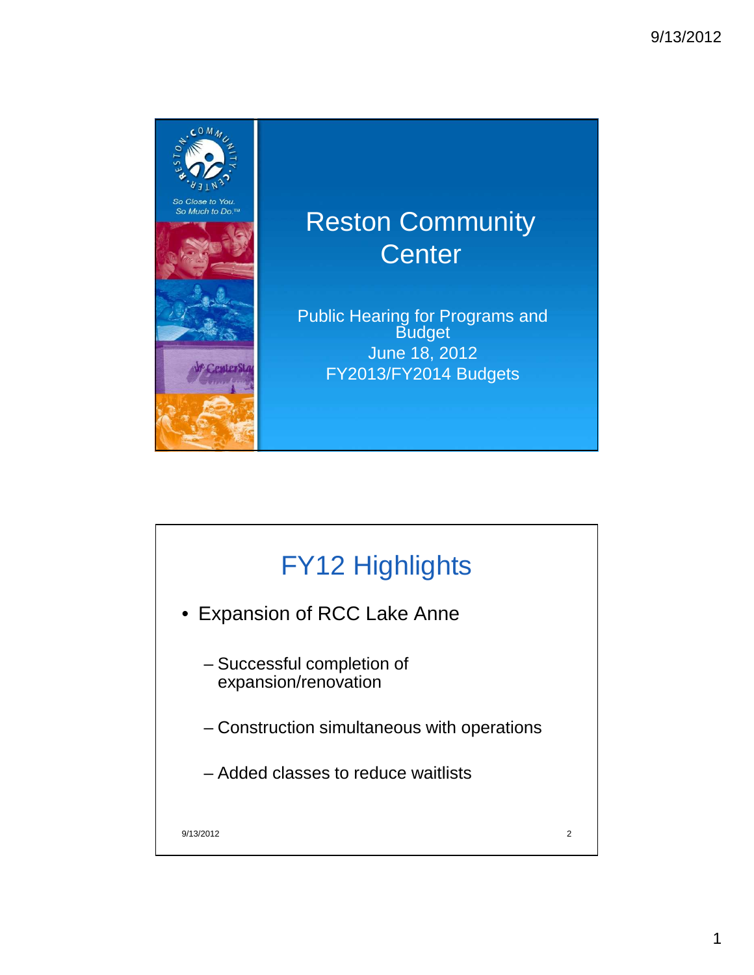

### Reston Community **Center**

Public Hearing for Programs and Budget June 18, 2012 FY2013/FY2014 Budgets

## FY12 Highlights

- Expansion of RCC Lake Anne
	- Successful completion of expansion/renovation
	- Construction simultaneous with operations
	- Added classes to reduce waitlists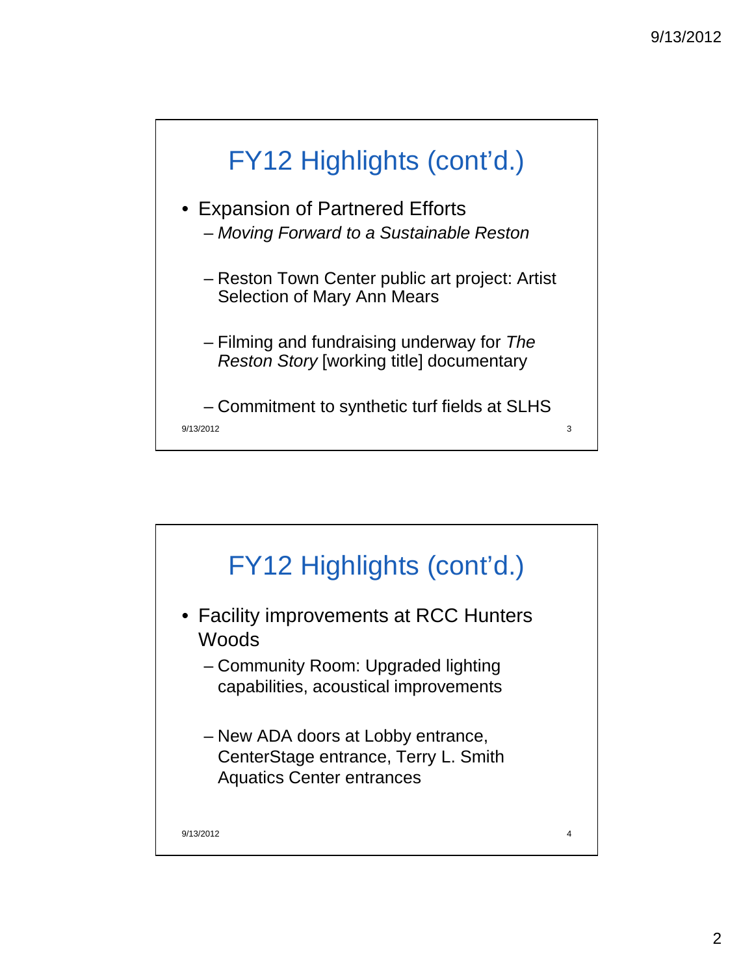

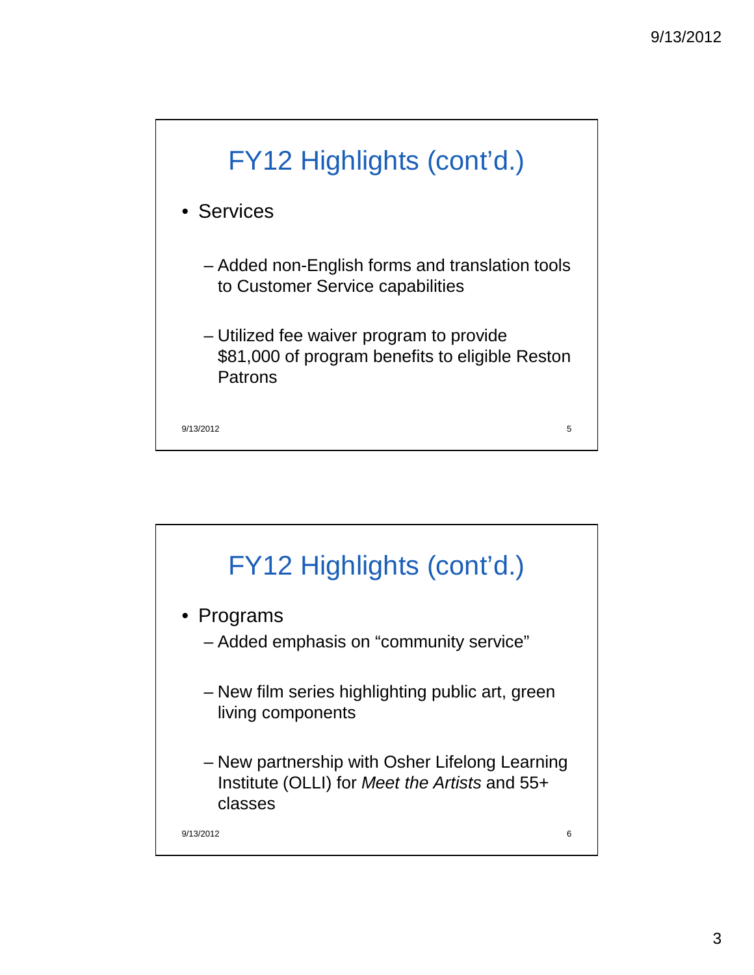

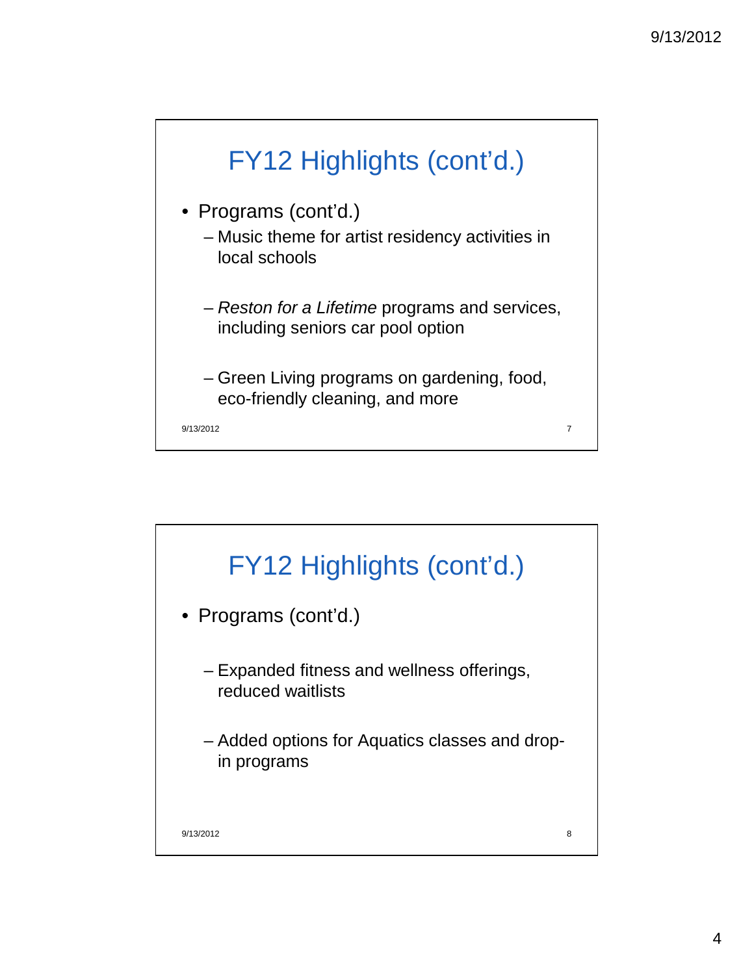

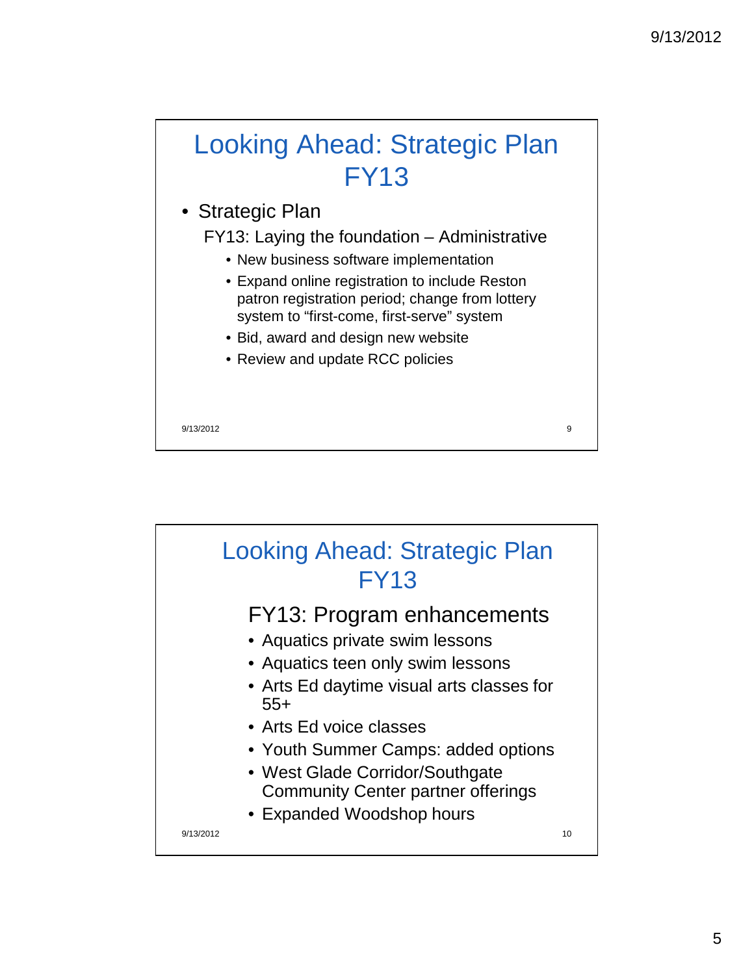# Looking Ahead: Strategic Plan FY13

- Strategic Plan
	- FY13: Laying the foundation Administrative
		- New business software implementation
		- Expand online registration to include Reston patron registration period; change from lottery system to "first-come, first-serve" system
		- Bid, award and design new website
		- Review and update RCC policies

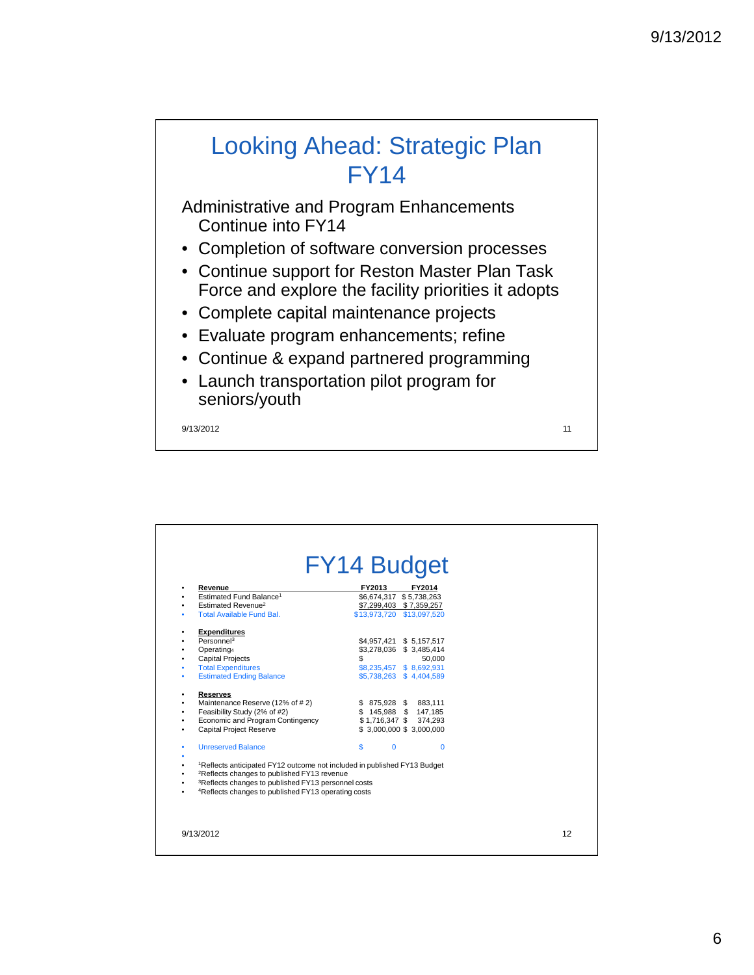### Looking Ahead: Strategic Plan FY14

Administrative and Program Enhancements Continue into FY14

- Completion of software conversion processes
- Continue support for Reston Master Plan Task Force and explore the facility priorities it adopts
- Complete capital maintenance projects
- Evaluate program enhancements; refine
- Continue & expand partnered programming
- Launch transportation pilot program for seniors/youth

| Revenue                                                                                                                                         | FY2014<br>FY2013           |  |
|-------------------------------------------------------------------------------------------------------------------------------------------------|----------------------------|--|
| Estimated Fund Balance <sup>1</sup>                                                                                                             | \$6,674,317 \$5,738,263    |  |
| Estimated Revenue <sup>2</sup>                                                                                                                  | \$7,299,403 \$7,359,257    |  |
| <b>Total Available Fund Bal.</b>                                                                                                                | \$13,973,720 \$13,097,520  |  |
| <b>Expenditures</b>                                                                                                                             |                            |  |
| Personnel <sup>3</sup>                                                                                                                          | \$4,957,421 \$ 5,157,517   |  |
| Operating4                                                                                                                                      | \$3,278,036 \$3,485,414    |  |
| <b>Capital Projects</b>                                                                                                                         | \$<br>50.000               |  |
| <b>Total Expenditures</b>                                                                                                                       | \$8,235,457 \$8,692,931    |  |
| <b>Estimated Ending Balance</b>                                                                                                                 | \$5,738,263 \$4,404,589    |  |
| <b>Reserves</b>                                                                                                                                 |                            |  |
| Maintenance Reserve (12% of #2)                                                                                                                 | \$ 875,928 \$ 883,111      |  |
| Feasibility Study (2% of #2)                                                                                                                    | \$145,988 \$147,185        |  |
| Economic and Program Contingency                                                                                                                | \$1,716,347 \$<br>374,293  |  |
| <b>Capital Project Reserve</b>                                                                                                                  | $$3,000,000$ $$3,000,000$  |  |
| <b>Unreserved Balance</b>                                                                                                                       | \$<br>$\Omega$<br>$\Omega$ |  |
| <sup>1</sup> Reflects anticipated FY12 outcome not included in published FY13 Budget<br><sup>2</sup> Reflects changes to published FY13 revenue |                            |  |
| <sup>3</sup> Reflects changes to published FY13 personnel costs                                                                                 |                            |  |
| <sup>4</sup> Reflects changes to published FY13 operating costs                                                                                 |                            |  |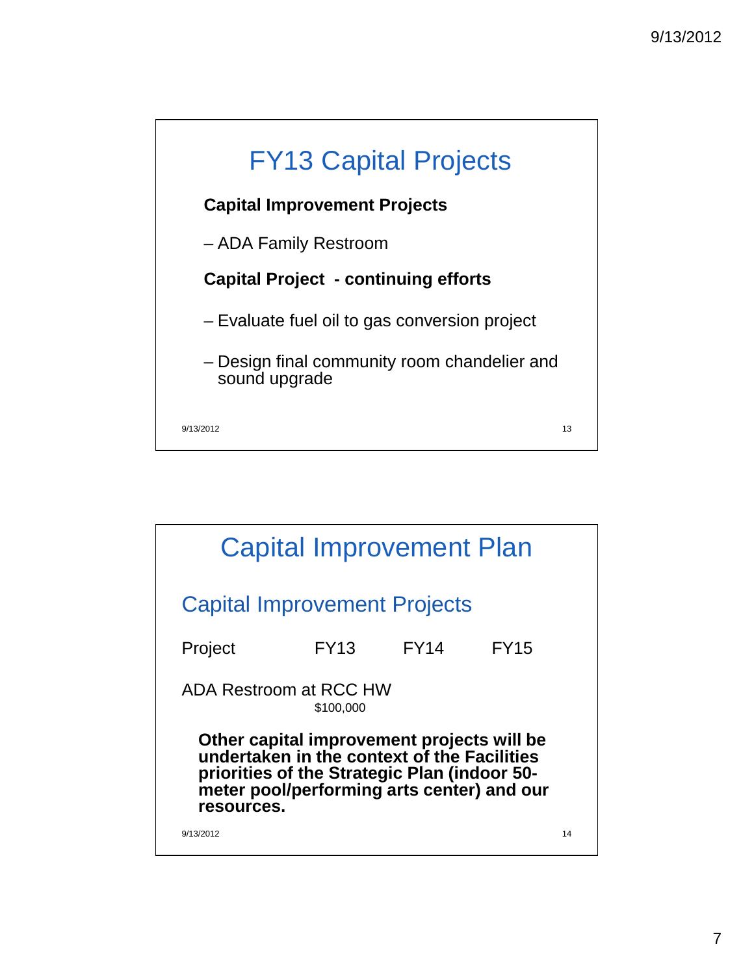

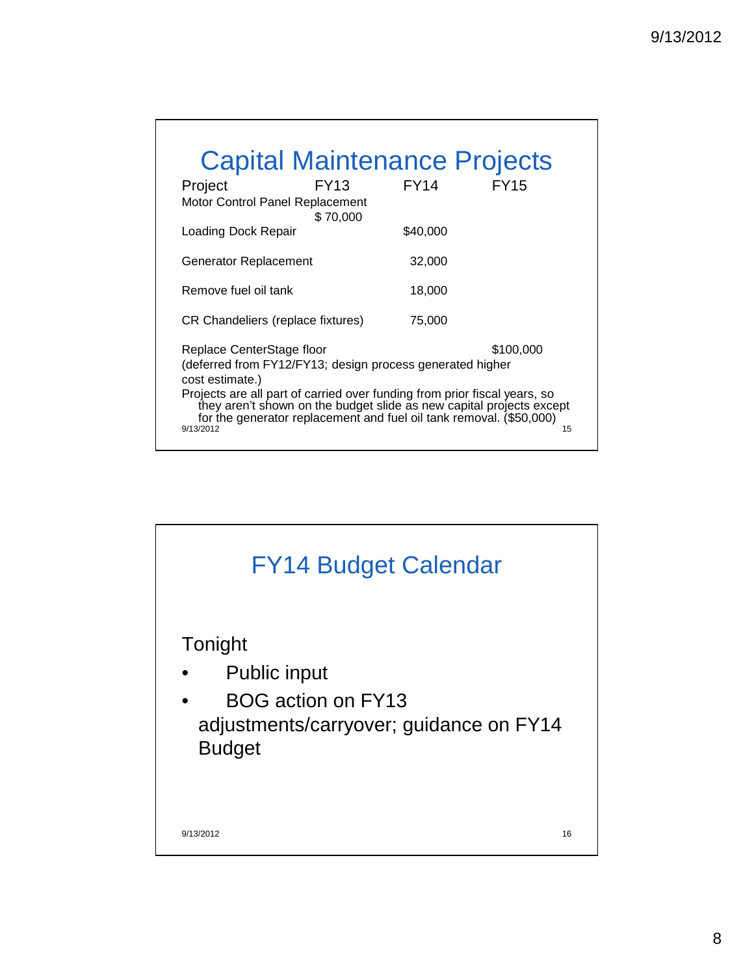| <b>Capital Maintenance Projects</b>                                                                                                                                                                                                                                         |             |             |             |  |  |  |
|-----------------------------------------------------------------------------------------------------------------------------------------------------------------------------------------------------------------------------------------------------------------------------|-------------|-------------|-------------|--|--|--|
| Project                                                                                                                                                                                                                                                                     | <b>FY13</b> | <b>FY14</b> | <b>FY15</b> |  |  |  |
| Motor Control Panel Replacement                                                                                                                                                                                                                                             | \$70,000    |             |             |  |  |  |
| Loading Dock Repair                                                                                                                                                                                                                                                         |             | \$40,000    |             |  |  |  |
| Generator Replacement                                                                                                                                                                                                                                                       |             | 32,000      |             |  |  |  |
| Remove fuel oil tank                                                                                                                                                                                                                                                        |             | 18,000      |             |  |  |  |
| CR Chandeliers (replace fixtures)                                                                                                                                                                                                                                           |             | 75,000      |             |  |  |  |
| \$100,000<br>Replace CenterStage floor<br>(deferred from FY12/FY13; design process generated higher<br>cost estimate.)<br>Projects are all part of carried over funding from prior fiscal years, so<br>they aren't shown on the budget slide as new capital projects except |             |             |             |  |  |  |
| for the generator replacement and fuel oil tank removal. (\$50,000)<br>9/13/2012                                                                                                                                                                                            |             |             | 15          |  |  |  |

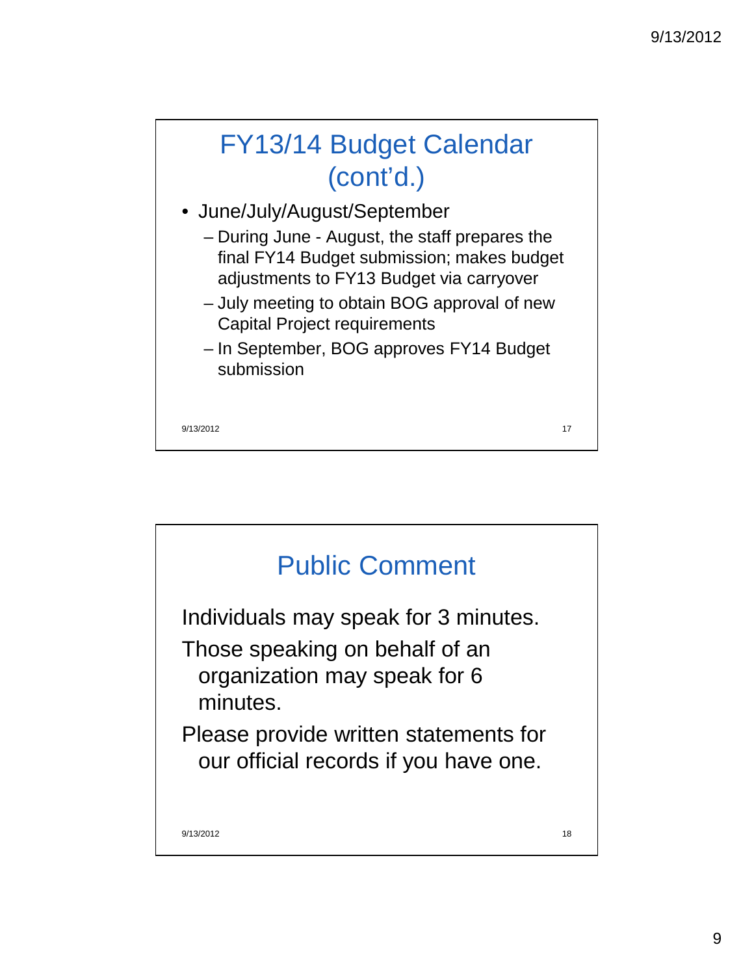

- June/July/August/September
	- During June August, the staff prepares the final FY14 Budget submission; makes budget adjustments to FY13 Budget via carryover
	- July meeting to obtain BOG approval of new Capital Project requirements
	- In September, BOG approves FY14 Budget submission

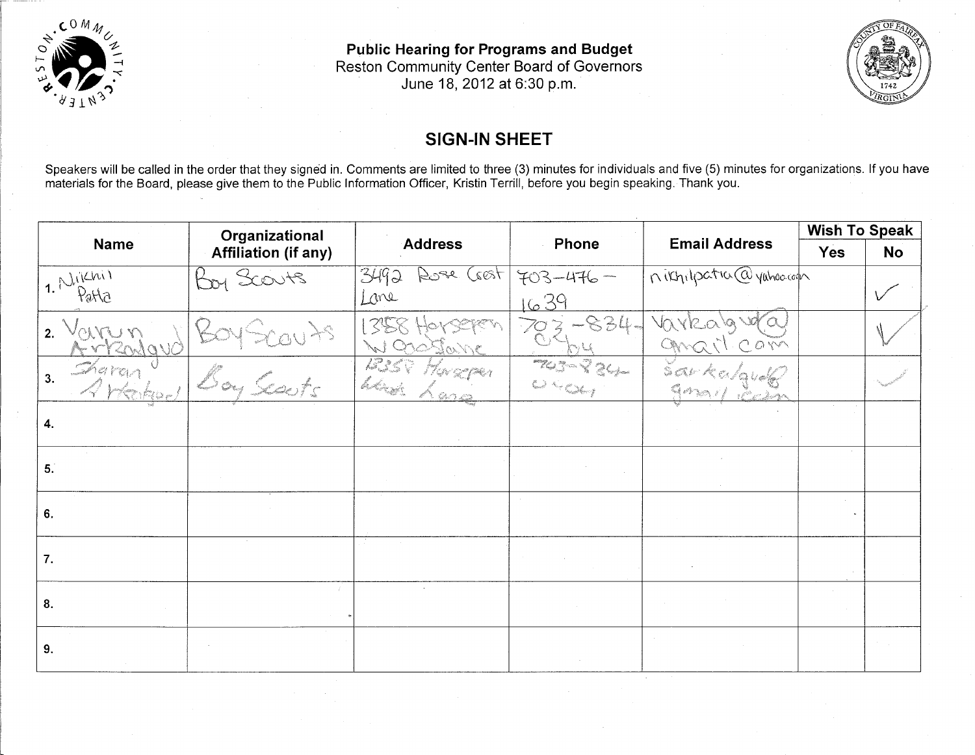

**Public Hearing for Programs and Budget** Reston Community Center Board of Governors June 18, 2012 at 6:30 p.m.



### **SIGN-IN SHEET**

Speakers will be called in the order that they signed in. Comments are limited to three (3) minutes for individuals and five (5) minutes for organizations. If you have<br>materials for the Board, please give them to the Publi

| Organizational<br><b>Name</b><br><b>Affiliation (if any)</b> |                |                              |                          |                         | <b>Wish To Speak</b> |  |
|--------------------------------------------------------------|----------------|------------------------------|--------------------------|-------------------------|----------------------|--|
|                                                              | <b>Address</b> | Phone                        | <b>Email Address</b>     | <b>Yes</b>              | <b>No</b>            |  |
| 1. Nichi                                                     | Boy Scouts     | 3492<br>Cest<br>Koge         | $703 - 476 -$            | nikhilpation@yahoo.com  |                      |  |
| Parla                                                        |                | Lone                         | 1639                     |                         |                      |  |
| 2.                                                           |                | $\mathcal{L}^{\mathfrak{q}}$ | $-834 -$                 | Varko<br>$ON^{\sim}$    |                      |  |
| Zha ran<br>3.                                                |                | 1225<br>had<br>60a           | TUS ROU<br>College Color | $\mathbb{S} \mathbb{C}$ |                      |  |
| 4.                                                           |                |                              |                          |                         |                      |  |
| 5.                                                           |                |                              |                          |                         |                      |  |
| 6.                                                           |                |                              |                          |                         |                      |  |
| 7.                                                           |                |                              |                          |                         |                      |  |
| 8.                                                           |                |                              |                          |                         |                      |  |
| 9.                                                           |                |                              |                          |                         |                      |  |